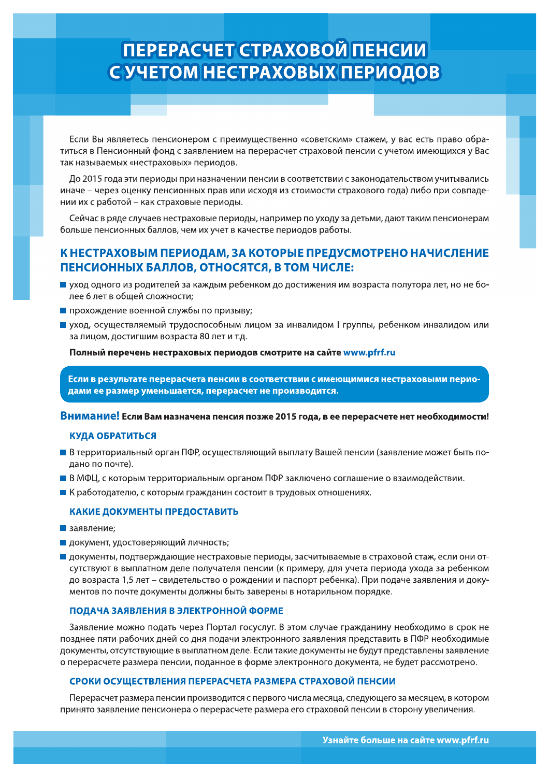# **ПЕРЕРАСЧЕТ СТРАХОВОЙ ПЕНСИИ** С УЧЕТОМ НЕСТРАХОВЫХ ПЕРИОДОВ

Если Вы являетесь пенсионером с преимущественно «советским» стажем, у вас есть право обратиться в Пенсионный фонд с заявлением на перерасчет страховой пенсии с учетом имеющихся у Вас так называемых «нестраховых» периодов.

До 2015 года эти периоды при назначении пенсии в соответствии с законодательством учитывались иначе - через оценку пенсионных прав или исходя из стоимости страхового года) либо при совпадении их с работой – как страховые периоды.

Сейчас в ряде случаев нестраховые периоды, например по уходу за детьми, дают таким пенсионерам больше пенсионных баллов, чем их учет в качестве периодов работы.

### К НЕСТРАХОВЫМ ПЕРИОДАМ, ЗА КОТОРЫЕ ПРЕДУСМОТРЕНО НАЧИСЛЕНИЕ ПЕНСИОННЫХ БАЛЛОВ, ОТНОСЯТСЯ, В ТОМ ЧИСЛЕ:

- yход одного из родителей за каждым ребенком до достижения им возраста полутора лет, но не более 6 лет в общей сложности;
- прохождение военной службы по призыву;
- уход, осуществляемый трудоспособным лицом за инвалидом I группы, ребенком-инвалидом или за лицом, достигшим возраста 80 лет и т.д.

Полный перечень нестраховых периодов смотрите на сайте www.pfrf.ru

Если в результате перерасчета пенсии в соответствии с имеющимися нестраховыми периодами ее размер уменьшается, перерасчет не производится.

Внимание! Если Вам назначена пенсия позже 2015 года, в ее перерасчете нет необходимости!

#### **КУДА ОБРАТИТЬСЯ**

- В территориальный орган ПФР, осуществляющий выплату Вашей пенсии (заявление может быть подано по почте).
- В МФЦ, с которым территориальным органом ПФР заключено соглашение о взаимодействии.
- К работодателю, с которым гражданин состоит в трудовых отношениях.

#### КАКИЕ ДОКУМЕНТЫ ПРЕДОСТАВИТЬ

- Ваявление;
- **документ, удостоверяющий личность;**
- документы, подтверждающие нестраховые периоды, засчитываемые в страховой стаж, если они отсутствуют в выплатном деле получателя пенсии (к примеру, для учета периода ухода за ребенком до возраста 1,5 лет – свидетельство о рождении и паспорт ребенка). При подаче заявления и документов по почте документы должны быть заверены в нотарильном порядке.

#### ПОДАЧА ЗАЯВЛЕНИЯ В ЭЛЕКТРОННОЙ ФОРМЕ

Заявление можно подать через Портал госуслуг. В этом случае гражданину необходимо в срок не позднее пяти рабочих дней со дня подачи электронного заявления представить в ПФР необходимые документы, отсутствующие в выплатном деле. Если такие документы не будут представлены заявление о перерасчете размера пенсии, поданное в форме электронного документа, не будет рассмотрено.

#### СРОКИ ОСУЩЕСТВЛЕНИЯ ПЕРЕРАСЧЕТА РАЗМЕРА СТРАХОВОЙ ПЕНСИИ

Перерасчет размера пенсии производится с первого числа месяца, следующего за месяцем, в котором принято заявление пенсионера о перерасчете размера его страховой пенсии в сторону увеличения.